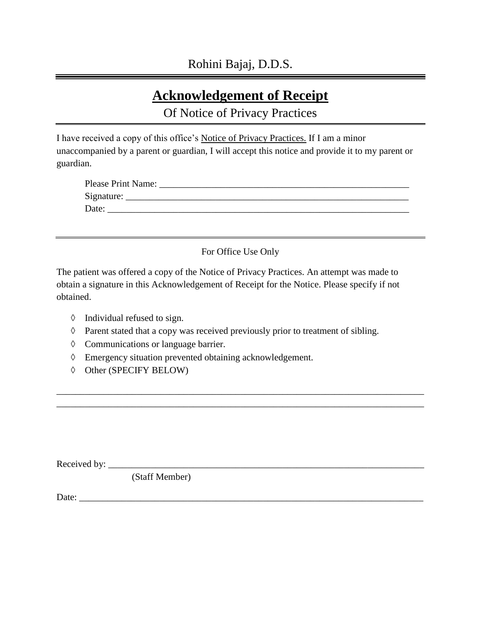# **Acknowledgement of Receipt**

Of Notice of Privacy Practices

I have received a copy of this office's Notice of Privacy Practices. If I am a minor unaccompanied by a parent or guardian, I will accept this notice and provide it to my parent or guardian.

| Please Print Name: |  |
|--------------------|--|
| Signature:         |  |
| Date:              |  |

For Office Use Only

The patient was offered a copy of the Notice of Privacy Practices. An attempt was made to obtain a signature in this Acknowledgement of Receipt for the Notice. Please specify if not obtained.

- $\Diamond$  Individual refused to sign.
- $\Diamond$  Parent stated that a copy was received previously prior to treatment of sibling.

\_\_\_\_\_\_\_\_\_\_\_\_\_\_\_\_\_\_\_\_\_\_\_\_\_\_\_\_\_\_\_\_\_\_\_\_\_\_\_\_\_\_\_\_\_\_\_\_\_\_\_\_\_\_\_\_\_\_\_\_\_\_\_\_\_\_\_\_\_\_\_\_\_\_\_\_\_\_ \_\_\_\_\_\_\_\_\_\_\_\_\_\_\_\_\_\_\_\_\_\_\_\_\_\_\_\_\_\_\_\_\_\_\_\_\_\_\_\_\_\_\_\_\_\_\_\_\_\_\_\_\_\_\_\_\_\_\_\_\_\_\_\_\_\_\_\_\_\_\_\_\_\_\_\_\_\_

- Communications or language barrier.
- Emergency situation prevented obtaining acknowledgement.
- $\lozenge$  Other (SPECIFY BELOW)

Received by: \_\_\_\_\_\_\_\_\_\_\_\_\_\_\_\_\_\_\_\_\_\_\_\_\_\_\_\_\_\_\_\_\_\_\_\_\_\_\_\_\_\_\_\_\_\_\_\_\_\_\_\_\_\_\_\_\_\_\_\_\_\_\_\_\_\_\_

(Staff Member)

Date: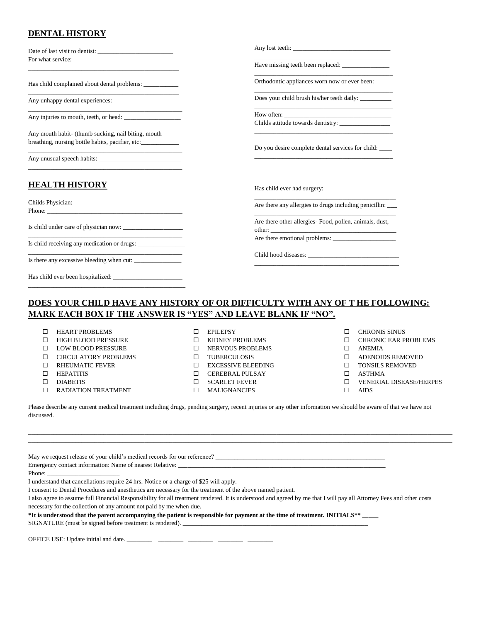#### **DENTAL HISTORY**

| Date of last visit to dentist:                      | Any lost teeth:                                                   |
|-----------------------------------------------------|-------------------------------------------------------------------|
|                                                     | Have missing teeth been replaced:                                 |
| Has child complained about dental problems:         | Orthodontic appliances worn now or ever been:                     |
| Any unhappy dental experiences:                     | Does your child brush his/her teeth daily:                        |
| Any injuries to mouth, teeth, or head:              |                                                                   |
| Any mouth habit- (thumb sucking, nail biting, mouth |                                                                   |
| breathing, nursing bottle habits, pacifier, etc:    | Do you desire complete dental services for child:                 |
| Any unusual speech habits:                          |                                                                   |
| <b>HEALTH HISTORY</b>                               | Has child ever had surgery:                                       |
|                                                     | Are there any allergies to drugs including penicillin:            |
| Is child under care of physician now:               | Are there other allergies- Food, pollen, animals, dust,<br>other: |
| Is child receiving any medication or drugs:         | Are there emotional problems:                                     |
| Is there any excessive bleeding when cut:           |                                                                   |
| Has child ever been hospitalized:                   |                                                                   |
|                                                     |                                                                   |

#### **DOES YOUR CHILD HAVE ANY HISTORY OF OR DIFFICULTY WITH ANY OF T HE FOLLOWING: MARK EACH BOX IF THE ANSWER IS "YES" AND LEAVE BLANK IF "NO".**

| $\Box$<br><b>HEART PROBLEMS</b> |
|---------------------------------|
|---------------------------------|

- $\Box$  HIGH BLOOD PRESSURE
- $\square$  LOW BLOOD PRESSURE
- $\Box$  CIRCULATORY PROBLEMS
- **D** RHEUMATIC FEVER
- HEPATITIS
- DIABETIS
- $\square$  RADIATION TREATMENT
- $\square$  KIDNEY PROBLEMS
- $\square$  NERVOUS PROBLEMS
- **TUBERCULOSIS**
- EXCESSIVE BLEEDING
- $\square$  CEREBRAL PULSAY
- 
- 
- $\Box$  CHRONIS SINUS **CHRONIC EAR PROBLEMS**
- ANEMIA
- ADENOIDS REMOVED
- $\square$  TONSILS REMOVED
- 
- ASTHMA
- VENERIAL DISEASE/HERPES
- $\square$  AIDS

Please describe any current medical treatment including drugs, pending surgery, recent injuries or any other information we should be aware of that we have not discussed.

May we request release of your child's medical records for our reference? \_\_\_\_\_\_\_\_\_\_\_\_\_\_\_\_\_\_\_\_\_\_\_\_\_\_\_\_\_\_\_\_\_\_\_\_\_\_\_\_\_\_\_\_\_\_\_\_\_\_\_\_\_\_ Emergency contact information: Name of nearest Relative:

Phone:

I understand that cancellations require 24 hrs. Notice or a charge of \$25 will apply.

I consent to Dental Procedures and anesthetics are necessary for the treatment of the above named patient.

I also agree to assume full Financial Responsibility for all treatment rendered. It is understood and agreed by me that I will pay all Attorney Fees and other costs necessary for the collection of any amount not paid by me when due.

**\*It is understood that the parent accompanying the patient is responsible for payment at the time of treatment. INITIALS\*\* \_\_\_\_\_** 

SIGNATURE (must be signed before treatment is rendered). \_\_\_\_\_\_\_\_\_\_\_\_\_\_\_\_\_\_\_\_\_\_\_\_

OFFICE USE: Update initial and date. \_\_\_\_\_\_\_\_\_ \_\_\_\_\_\_\_\_\_ \_\_\_\_\_\_\_\_\_ \_\_\_\_\_

EPILEPSY

- 
- 
- 
- 
- $\square$  SCARLET FEVER
- 
- -

 $\Box$ \_\_\_\_\_\_\_\_\_\_\_\_\_\_\_\_\_\_\_\_\_\_\_\_\_\_\_\_\_\_\_\_\_\_\_\_\_\_\_\_\_\_\_\_\_\_\_\_\_\_\_\_\_\_\_\_\_\_\_\_\_\_\_\_\_\_\_\_\_\_\_\_\_\_\_\_\_\_\_\_\_\_\_\_\_\_\_\_\_\_\_\_\_\_\_\_\_\_\_\_\_\_\_\_\_\_\_\_\_\_\_\_\_\_\_\_\_\_\_\_\_\_\_\_\_\_\_\_\_\_\_\_\_\_\_ \_\_\_\_\_\_\_\_\_\_\_\_\_\_\_\_\_\_\_\_\_\_\_\_\_\_\_\_\_\_\_\_\_\_\_\_\_\_\_\_\_\_\_\_\_\_\_\_\_\_\_\_\_\_\_\_\_\_\_\_\_\_\_\_\_\_\_\_\_\_\_\_\_\_\_\_\_\_\_\_\_\_\_\_\_\_\_\_\_\_\_\_\_\_\_\_\_\_\_\_\_\_\_\_\_\_\_\_\_\_\_\_\_\_\_\_\_\_\_\_\_\_\_\_\_\_\_\_\_\_\_\_\_\_\_ \_\_\_\_\_\_\_\_\_\_\_\_\_\_\_\_\_\_\_\_\_\_\_\_\_\_\_\_\_\_\_\_\_\_\_\_\_\_\_\_\_\_\_\_\_\_\_\_\_\_\_\_\_\_\_\_\_\_\_\_\_\_\_\_\_\_\_\_\_\_\_\_\_\_\_\_\_\_\_\_\_\_\_\_\_\_\_\_\_\_\_\_\_\_\_\_\_\_\_\_\_\_\_\_\_\_\_\_\_\_\_\_\_\_\_\_\_\_\_\_\_\_\_\_\_\_\_\_\_\_\_\_\_\_\_

- 
- 
- 
- MALIGNANCIES
- 
-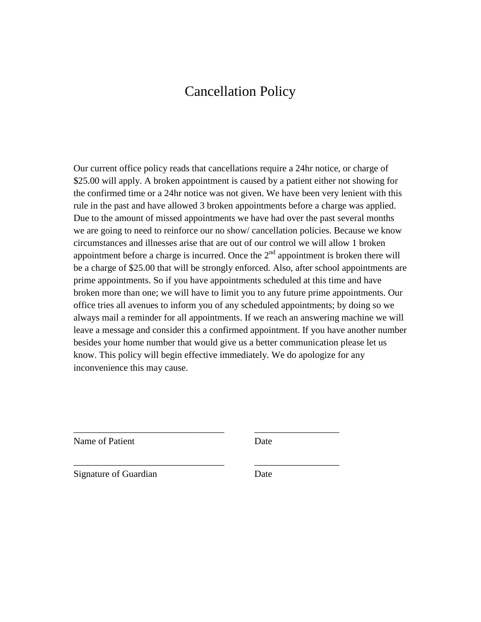## Cancellation Policy

Our current office policy reads that cancellations require a 24hr notice, or charge of \$25.00 will apply. A broken appointment is caused by a patient either not showing for the confirmed time or a 24hr notice was not given. We have been very lenient with this rule in the past and have allowed 3 broken appointments before a charge was applied. Due to the amount of missed appointments we have had over the past several months we are going to need to reinforce our no show/ cancellation policies. Because we know circumstances and illnesses arise that are out of our control we will allow 1 broken appointment before a charge is incurred. Once the  $2<sup>nd</sup>$  appointment is broken there will be a charge of \$25.00 that will be strongly enforced. Also, after school appointments are prime appointments. So if you have appointments scheduled at this time and have broken more than one; we will have to limit you to any future prime appointments. Our office tries all avenues to inform you of any scheduled appointments; by doing so we always mail a reminder for all appointments. If we reach an answering machine we will leave a message and consider this a confirmed appointment. If you have another number besides your home number that would give us a better communication please let us know. This policy will begin effective immediately. We do apologize for any inconvenience this may cause.

Name of Patient

Date

\_\_\_\_\_\_\_\_\_\_\_\_\_\_\_\_\_\_

\_\_\_\_\_\_\_\_\_\_\_\_\_\_\_\_\_\_

Signature of Guardian

\_\_\_\_\_\_\_\_\_\_\_\_\_\_\_\_\_\_\_\_\_\_\_\_\_\_\_\_\_\_\_\_

\_\_\_\_\_\_\_\_\_\_\_\_\_\_\_\_\_\_\_\_\_\_\_\_\_\_\_\_\_\_\_\_

Date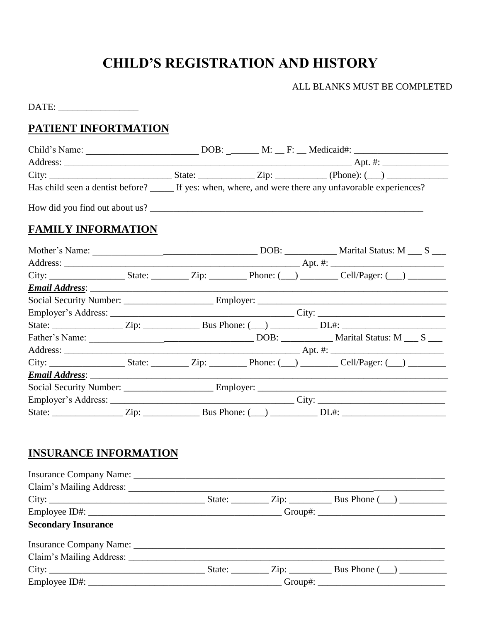# **CHILD'S REGISTRATION AND HISTORY**

#### ALL BLANKS MUST BE COMPLETED

 $\text{DATE:}\underline{\hspace{2cm}}$ 

## PATIENT INFORTMATION

|                           |  |  |  | Has child seen a dentist before? _____ If yes: when, where, and were there any unfavorable experiences? |
|---------------------------|--|--|--|---------------------------------------------------------------------------------------------------------|
|                           |  |  |  |                                                                                                         |
| <b>FAMILY INFORMATION</b> |  |  |  |                                                                                                         |
|                           |  |  |  |                                                                                                         |
|                           |  |  |  |                                                                                                         |
|                           |  |  |  |                                                                                                         |
|                           |  |  |  |                                                                                                         |
|                           |  |  |  |                                                                                                         |
|                           |  |  |  |                                                                                                         |
|                           |  |  |  |                                                                                                         |
|                           |  |  |  |                                                                                                         |
|                           |  |  |  |                                                                                                         |
|                           |  |  |  |                                                                                                         |
|                           |  |  |  |                                                                                                         |
|                           |  |  |  |                                                                                                         |
|                           |  |  |  |                                                                                                         |
|                           |  |  |  |                                                                                                         |

### **INSURANCE INFORMATION**

| Claim's Mailing Address:   |  |  |  |  |  |
|----------------------------|--|--|--|--|--|
|                            |  |  |  |  |  |
|                            |  |  |  |  |  |
| <b>Secondary Insurance</b> |  |  |  |  |  |
|                            |  |  |  |  |  |
|                            |  |  |  |  |  |
|                            |  |  |  |  |  |
|                            |  |  |  |  |  |